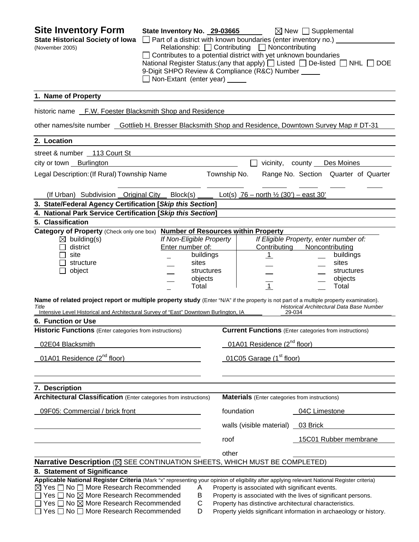| <b>Site Inventory Form</b><br><b>State Historical Society of Iowa</b><br>(November 2005)                                                                                                                                                                                                                                                                                                 | State Inventory No. 29-03665<br>□ Part of a district with known boundaries (enter inventory no.) ____<br>□ Contributes to a potential district with yet unknown boundaries<br>9-Digit SHPO Review & Compliance (R&C) Number _____<br>Non-Extant (enter year) _____ |              | Relationship: <u>□</u> Contributing □ Noncontributing | $\boxtimes$ New $\Box$ Supplemental<br>National Register Status: (any that apply) $\Box$ Listed $\Box$ De-listed $\Box$ NHL $\Box$ DOE                                                         |
|------------------------------------------------------------------------------------------------------------------------------------------------------------------------------------------------------------------------------------------------------------------------------------------------------------------------------------------------------------------------------------------|--------------------------------------------------------------------------------------------------------------------------------------------------------------------------------------------------------------------------------------------------------------------|--------------|-------------------------------------------------------|------------------------------------------------------------------------------------------------------------------------------------------------------------------------------------------------|
| 1. Name of Property                                                                                                                                                                                                                                                                                                                                                                      |                                                                                                                                                                                                                                                                    |              |                                                       |                                                                                                                                                                                                |
| historic name F.W. Foester Blacksmith Shop and Residence                                                                                                                                                                                                                                                                                                                                 |                                                                                                                                                                                                                                                                    |              |                                                       |                                                                                                                                                                                                |
| other names/site number Gottlieb H. Bresser Blacksmith Shop and Residence, Downtown Survey Map # DT-31                                                                                                                                                                                                                                                                                   |                                                                                                                                                                                                                                                                    |              |                                                       |                                                                                                                                                                                                |
| 2. Location                                                                                                                                                                                                                                                                                                                                                                              |                                                                                                                                                                                                                                                                    |              |                                                       |                                                                                                                                                                                                |
| street & number 113 Court St                                                                                                                                                                                                                                                                                                                                                             |                                                                                                                                                                                                                                                                    |              |                                                       |                                                                                                                                                                                                |
| city or town Burlington                                                                                                                                                                                                                                                                                                                                                                  |                                                                                                                                                                                                                                                                    |              |                                                       | vicinity, county Des Moines                                                                                                                                                                    |
| Legal Description: (If Rural) Township Name                                                                                                                                                                                                                                                                                                                                              |                                                                                                                                                                                                                                                                    | Township No. |                                                       | Range No. Section Quarter of Quarter                                                                                                                                                           |
| (If Urban) Subdivision Original City Block(s) $\qquad$ Lot(s) 76 – north $\frac{1}{2}$ (30') – east 30'                                                                                                                                                                                                                                                                                  |                                                                                                                                                                                                                                                                    |              |                                                       |                                                                                                                                                                                                |
| 3. State/Federal Agency Certification [Skip this Section]                                                                                                                                                                                                                                                                                                                                |                                                                                                                                                                                                                                                                    |              |                                                       |                                                                                                                                                                                                |
| 4. National Park Service Certification [Skip this Section]                                                                                                                                                                                                                                                                                                                               |                                                                                                                                                                                                                                                                    |              |                                                       |                                                                                                                                                                                                |
| 5. Classification<br>Category of Property (Check only one box) Number of Resources within Property                                                                                                                                                                                                                                                                                       |                                                                                                                                                                                                                                                                    |              |                                                       |                                                                                                                                                                                                |
| $\boxtimes$ building(s)<br>district<br>site<br>structure<br>object                                                                                                                                                                                                                                                                                                                       | If Non-Eligible Property<br>Enter number of:<br>buildings<br>sites<br>structures<br>objects<br>Total                                                                                                                                                               |              | Contributing<br><u>1</u><br>$\mathbf{1}$              | If Eligible Property, enter number of:<br>Noncontributing<br>buildings<br>sites<br>structures<br>objects<br>Total                                                                              |
| Name of related project report or multiple property study (Enter "N/A" if the property is not part of a multiple property examination).<br>Title<br>Intensive Level Historical and Architectural Survey of "East" Downtown Burlington, IA                                                                                                                                                |                                                                                                                                                                                                                                                                    |              | 29-034                                                | Historical Architectural Data Base Number                                                                                                                                                      |
| 6. Function or Use                                                                                                                                                                                                                                                                                                                                                                       |                                                                                                                                                                                                                                                                    |              |                                                       |                                                                                                                                                                                                |
| <b>Historic Functions</b> (Enter categories from instructions)                                                                                                                                                                                                                                                                                                                           |                                                                                                                                                                                                                                                                    |              |                                                       | <b>Current Functions</b> (Enter categories from instructions)                                                                                                                                  |
| 02E04 Blacksmith                                                                                                                                                                                                                                                                                                                                                                         |                                                                                                                                                                                                                                                                    |              | 01A01 Residence (2 <sup>nd</sup> floor)               |                                                                                                                                                                                                |
| 01A01 Residence (2 <sup>nd</sup> floor)                                                                                                                                                                                                                                                                                                                                                  |                                                                                                                                                                                                                                                                    |              | 01C05 Garage (1 <sup>st</sup> floor)                  |                                                                                                                                                                                                |
| 7. Description                                                                                                                                                                                                                                                                                                                                                                           |                                                                                                                                                                                                                                                                    |              |                                                       |                                                                                                                                                                                                |
| Architectural Classification (Enter categories from instructions)                                                                                                                                                                                                                                                                                                                        |                                                                                                                                                                                                                                                                    |              | <b>Materials</b> (Enter categories from instructions) |                                                                                                                                                                                                |
| 09F05: Commercial / brick front                                                                                                                                                                                                                                                                                                                                                          |                                                                                                                                                                                                                                                                    |              | foundation                                            | 04C Limestone                                                                                                                                                                                  |
|                                                                                                                                                                                                                                                                                                                                                                                          |                                                                                                                                                                                                                                                                    |              | walls (visible material) _                            | 03 Brick                                                                                                                                                                                       |
|                                                                                                                                                                                                                                                                                                                                                                                          |                                                                                                                                                                                                                                                                    | roof         |                                                       | 15C01 Rubber membrane                                                                                                                                                                          |
|                                                                                                                                                                                                                                                                                                                                                                                          |                                                                                                                                                                                                                                                                    | other        |                                                       |                                                                                                                                                                                                |
| Narrative Description (⊠ SEE CONTINUATION SHEETS, WHICH MUST BE COMPLETED)                                                                                                                                                                                                                                                                                                               |                                                                                                                                                                                                                                                                    |              |                                                       |                                                                                                                                                                                                |
| 8. Statement of Significance                                                                                                                                                                                                                                                                                                                                                             |                                                                                                                                                                                                                                                                    |              |                                                       |                                                                                                                                                                                                |
| Applicable National Register Criteria (Mark "x" representing your opinion of eligibility after applying relevant National Register criteria)<br>$\boxtimes$ Yes $\Box$ No $\Box$ More Research Recommended<br>Yes $\Box$ No $\boxtimes$ More Research Recommended<br>$\Box$ Yes $\Box$ No $\boxtimes$ More Research Recommended<br>$\Box$ Yes $\Box$ No $\Box$ More Research Recommended | A<br>B<br>С<br>D                                                                                                                                                                                                                                                   |              | Property is associated with significant events.       | Property is associated with the lives of significant persons.<br>Property has distinctive architectural characteristics.<br>Property yields significant information in archaeology or history. |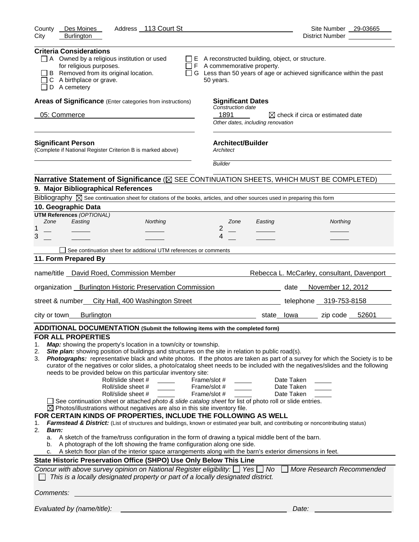| Address 113 Court St<br>County<br>Des Moines<br><b>Burlington</b>                                                                                                                                                                                                                                                                                                                                                                                                                                                                                                                                                                                                                                                                                                                                                                                                                                                                                                                                                                                                                                                                                                                                                                                                                                                                                                                   | Site Number 29-03665                                                                                                                                                                                                                                                                                                                                                      |
|-------------------------------------------------------------------------------------------------------------------------------------------------------------------------------------------------------------------------------------------------------------------------------------------------------------------------------------------------------------------------------------------------------------------------------------------------------------------------------------------------------------------------------------------------------------------------------------------------------------------------------------------------------------------------------------------------------------------------------------------------------------------------------------------------------------------------------------------------------------------------------------------------------------------------------------------------------------------------------------------------------------------------------------------------------------------------------------------------------------------------------------------------------------------------------------------------------------------------------------------------------------------------------------------------------------------------------------------------------------------------------------|---------------------------------------------------------------------------------------------------------------------------------------------------------------------------------------------------------------------------------------------------------------------------------------------------------------------------------------------------------------------------|
| City                                                                                                                                                                                                                                                                                                                                                                                                                                                                                                                                                                                                                                                                                                                                                                                                                                                                                                                                                                                                                                                                                                                                                                                                                                                                                                                                                                                | District Number                                                                                                                                                                                                                                                                                                                                                           |
| <b>Criteria Considerations</b><br>A Owned by a religious institution or used<br>for religious purposes.<br>B Removed from its original location.<br>C A birthplace or grave.<br>D A cemetery                                                                                                                                                                                                                                                                                                                                                                                                                                                                                                                                                                                                                                                                                                                                                                                                                                                                                                                                                                                                                                                                                                                                                                                        | $\Box$ E A reconstructed building, object, or structure.<br>$\Box$ F A commemorative property.<br>□ G Less than 50 years of age or achieved significance within the past<br>50 years.                                                                                                                                                                                     |
| Areas of Significance (Enter categories from instructions)                                                                                                                                                                                                                                                                                                                                                                                                                                                                                                                                                                                                                                                                                                                                                                                                                                                                                                                                                                                                                                                                                                                                                                                                                                                                                                                          | <b>Significant Dates</b>                                                                                                                                                                                                                                                                                                                                                  |
| 05: Commerce                                                                                                                                                                                                                                                                                                                                                                                                                                                                                                                                                                                                                                                                                                                                                                                                                                                                                                                                                                                                                                                                                                                                                                                                                                                                                                                                                                        | Construction date<br>1891<br>$\boxtimes$ check if circa or estimated date<br>Other dates, including renovation                                                                                                                                                                                                                                                            |
| <b>Significant Person</b><br>(Complete if National Register Criterion B is marked above)                                                                                                                                                                                                                                                                                                                                                                                                                                                                                                                                                                                                                                                                                                                                                                                                                                                                                                                                                                                                                                                                                                                                                                                                                                                                                            | <b>Architect/Builder</b><br>Architect                                                                                                                                                                                                                                                                                                                                     |
|                                                                                                                                                                                                                                                                                                                                                                                                                                                                                                                                                                                                                                                                                                                                                                                                                                                                                                                                                                                                                                                                                                                                                                                                                                                                                                                                                                                     | <b>Builder</b>                                                                                                                                                                                                                                                                                                                                                            |
| Narrative Statement of Significance ( $\boxtimes$ SEE CONTINUATION SHEETS, WHICH MUST BE COMPLETED)                                                                                                                                                                                                                                                                                                                                                                                                                                                                                                                                                                                                                                                                                                                                                                                                                                                                                                                                                                                                                                                                                                                                                                                                                                                                                 |                                                                                                                                                                                                                                                                                                                                                                           |
| 9. Major Bibliographical References                                                                                                                                                                                                                                                                                                                                                                                                                                                                                                                                                                                                                                                                                                                                                                                                                                                                                                                                                                                                                                                                                                                                                                                                                                                                                                                                                 |                                                                                                                                                                                                                                                                                                                                                                           |
| Bibliography $\boxtimes$ See continuation sheet for citations of the books, articles, and other sources used in preparing this form                                                                                                                                                                                                                                                                                                                                                                                                                                                                                                                                                                                                                                                                                                                                                                                                                                                                                                                                                                                                                                                                                                                                                                                                                                                 |                                                                                                                                                                                                                                                                                                                                                                           |
| 10. Geographic Data<br><b>UTM References (OPTIONAL)</b>                                                                                                                                                                                                                                                                                                                                                                                                                                                                                                                                                                                                                                                                                                                                                                                                                                                                                                                                                                                                                                                                                                                                                                                                                                                                                                                             |                                                                                                                                                                                                                                                                                                                                                                           |
| Zone<br>Easting<br>Northing                                                                                                                                                                                                                                                                                                                                                                                                                                                                                                                                                                                                                                                                                                                                                                                                                                                                                                                                                                                                                                                                                                                                                                                                                                                                                                                                                         | Northing<br>Zone<br>Easting                                                                                                                                                                                                                                                                                                                                               |
| 1                                                                                                                                                                                                                                                                                                                                                                                                                                                                                                                                                                                                                                                                                                                                                                                                                                                                                                                                                                                                                                                                                                                                                                                                                                                                                                                                                                                   | 2                                                                                                                                                                                                                                                                                                                                                                         |
| 3                                                                                                                                                                                                                                                                                                                                                                                                                                                                                                                                                                                                                                                                                                                                                                                                                                                                                                                                                                                                                                                                                                                                                                                                                                                                                                                                                                                   | 4                                                                                                                                                                                                                                                                                                                                                                         |
| See continuation sheet for additional UTM references or comments                                                                                                                                                                                                                                                                                                                                                                                                                                                                                                                                                                                                                                                                                                                                                                                                                                                                                                                                                                                                                                                                                                                                                                                                                                                                                                                    |                                                                                                                                                                                                                                                                                                                                                                           |
| 11. Form Prepared By                                                                                                                                                                                                                                                                                                                                                                                                                                                                                                                                                                                                                                                                                                                                                                                                                                                                                                                                                                                                                                                                                                                                                                                                                                                                                                                                                                |                                                                                                                                                                                                                                                                                                                                                                           |
| name/title  David Roed, Commission Member                                                                                                                                                                                                                                                                                                                                                                                                                                                                                                                                                                                                                                                                                                                                                                                                                                                                                                                                                                                                                                                                                                                                                                                                                                                                                                                                           | Rebecca L. McCarley, consultant, Davenport                                                                                                                                                                                                                                                                                                                                |
| organization __ Burlington Historic Preservation Commission ____________________                                                                                                                                                                                                                                                                                                                                                                                                                                                                                                                                                                                                                                                                                                                                                                                                                                                                                                                                                                                                                                                                                                                                                                                                                                                                                                    | date November 12, 2012                                                                                                                                                                                                                                                                                                                                                    |
| street & number<br>City Hall, 400 Washington Street                                                                                                                                                                                                                                                                                                                                                                                                                                                                                                                                                                                                                                                                                                                                                                                                                                                                                                                                                                                                                                                                                                                                                                                                                                                                                                                                 | telephone 319-753-8158                                                                                                                                                                                                                                                                                                                                                    |
| city or town<br><b>Burlington</b>                                                                                                                                                                                                                                                                                                                                                                                                                                                                                                                                                                                                                                                                                                                                                                                                                                                                                                                                                                                                                                                                                                                                                                                                                                                                                                                                                   | state lowa zip code 52601                                                                                                                                                                                                                                                                                                                                                 |
| ADDITIONAL DOCUMENTATION (Submit the following items with the completed form)                                                                                                                                                                                                                                                                                                                                                                                                                                                                                                                                                                                                                                                                                                                                                                                                                                                                                                                                                                                                                                                                                                                                                                                                                                                                                                       |                                                                                                                                                                                                                                                                                                                                                                           |
| <b>FOR ALL PROPERTIES</b><br>Map: showing the property's location in a town/city or township.<br>1.<br>Site plan: showing position of buildings and structures on the site in relation to public road(s).<br>2.<br>3.<br>needs to be provided below on this particular inventory site:<br>Roll/slide sheet #<br>Roll/slide sheet #<br>Frame/slot #<br>Roll/slide sheet #<br>See continuation sheet or attached photo & slide catalog sheet for list of photo roll or slide entries.<br>$\boxtimes$ Photos/illustrations without negatives are also in this site inventory file.<br>FOR CERTAIN KINDS OF PROPERTIES, INCLUDE THE FOLLOWING AS WELL<br>Farmstead & District: (List of structures and buildings, known or estimated year built, and contributing or noncontributing status)<br>1.<br>2.<br>Barn:<br>A sketch of the frame/truss configuration in the form of drawing a typical middle bent of the barn.<br>a.<br>A photograph of the loft showing the frame configuration along one side.<br>b.<br>A sketch floor plan of the interior space arrangements along with the barn's exterior dimensions in feet.<br>c.<br>State Historic Preservation Office (SHPO) Use Only Below This Line<br>Concur with above survey opinion on National Register eligibility: $\Box$ Yes $\Box$ No<br>This is a locally designated property or part of a locally designated district. | Photographs: representative black and white photos. If the photos are taken as part of a survey for which the Society is to be<br>curator of the negatives or color slides, a photo/catalog sheet needs to be included with the negatives/slides and the following<br>Frame/slot #<br>Date Taken<br>Date Taken<br>Frame/slot #<br>Date Taken<br>More Research Recommended |
| Comments:                                                                                                                                                                                                                                                                                                                                                                                                                                                                                                                                                                                                                                                                                                                                                                                                                                                                                                                                                                                                                                                                                                                                                                                                                                                                                                                                                                           |                                                                                                                                                                                                                                                                                                                                                                           |
| Evaluated by (name/title):                                                                                                                                                                                                                                                                                                                                                                                                                                                                                                                                                                                                                                                                                                                                                                                                                                                                                                                                                                                                                                                                                                                                                                                                                                                                                                                                                          | Date:                                                                                                                                                                                                                                                                                                                                                                     |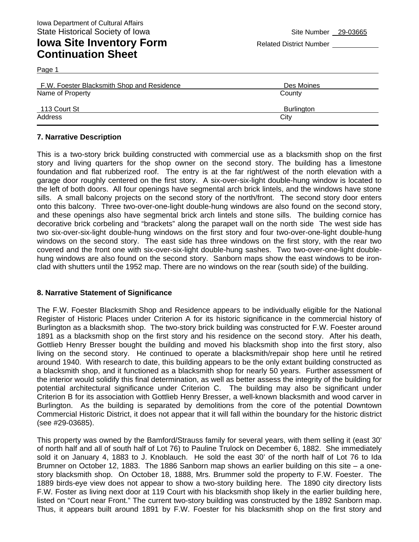#### **Iowa Site Inventory Form** Related District Number **Continuation Sheet**

| F.W. Foester Blacksmith Shop and Residence | Des Moines        |  |
|--------------------------------------------|-------------------|--|
| Name of Property                           | County            |  |
| 113 Court St                               | <b>Burlington</b> |  |
| Address                                    | City              |  |

#### **7. Narrative Description**

Page 1

This is a two-story brick building constructed with commercial use as a blacksmith shop on the first story and living quarters for the shop owner on the second story. The building has a limestone foundation and flat rubberized roof. The entry is at the far right/west of the north elevation with a garage door roughly centered on the first story. A six-over-six-light double-hung window is located to the left of both doors. All four openings have segmental arch brick lintels, and the windows have stone sills. A small balcony projects on the second story of the north/front. The second story door enters onto this balcony. Three two-over-one-light double-hung windows are also found on the second story, and these openings also have segmental brick arch lintels and stone sills. The building cornice has decorative brick corbeling and "brackets" along the parapet wall on the north side The west side has two six-over-six-light double-hung windows on the first story and four two-over-one-light double-hung windows on the second story. The east side has three windows on the first story, with the rear two covered and the front one with six-over-six-light double-hung sashes. Two two-over-one-light doublehung windows are also found on the second story. Sanborn maps show the east windows to be ironclad with shutters until the 1952 map. There are no windows on the rear (south side) of the building.

#### **8. Narrative Statement of Significance**

The F.W. Foester Blacksmith Shop and Residence appears to be individually eligible for the National Register of Historic Places under Criterion A for its historic significance in the commercial history of Burlington as a blacksmith shop. The two-story brick building was constructed for F.W. Foester around 1891 as a blacksmith shop on the first story and his residence on the second story. After his death, Gottlieb Henry Bresser bought the building and moved his blacksmith shop into the first story, also living on the second story. He continued to operate a blacksmith/repair shop here until he retired around 1940. With research to date, this building appears to be the only extant building constructed as a blacksmith shop, and it functioned as a blacksmith shop for nearly 50 years. Further assessment of the interior would solidify this final determination, as well as better assess the integrity of the building for potential architectural significance under Criterion C. The building may also be significant under Criterion B for its association with Gottlieb Henry Bresser, a well-known blacksmith and wood carver in Burlington. As the building is separated by demolitions from the core of the potential Downtown Commercial Historic District, it does not appear that it will fall within the boundary for the historic district (see #29-03685).

This property was owned by the Bamford/Strauss family for several years, with them selling it (east 30' of north half and all of south half of Lot 76) to Pauline Trulock on December 6, 1882. She immediately sold it on January 4, 1883 to J. Knoblauch. He sold the east 30' of the north half of Lot 76 to Ida Brumner on October 12, 1883. The 1886 Sanborn map shows an earlier building on this site – a onestory blacksmith shop. On October 18, 1888, Mrs. Brummer sold the property to F.W. Foester. The 1889 birds-eye view does not appear to show a two-story building here. The 1890 city directory lists F.W. Foster as living next door at 119 Court with his blacksmith shop likely in the earlier building here, listed on "Court near Front." The current two-story building was constructed by the 1892 Sanborn map. Thus, it appears built around 1891 by F.W. Foester for his blacksmith shop on the first story and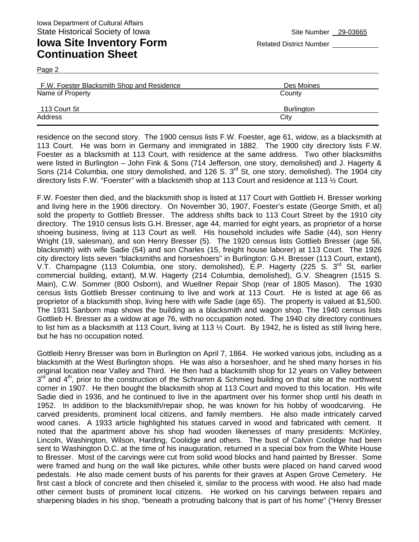Page 2

## **Iowa Site Inventory Form** Related District Number **Continuation Sheet**

| $-$                                        |                   |  |
|--------------------------------------------|-------------------|--|
| F.W. Foester Blacksmith Shop and Residence | Des Moines        |  |
| Name of Property                           | County            |  |
| 113 Court St                               | <b>Burlington</b> |  |
| Address                                    | City              |  |

residence on the second story. The 1900 census lists F.W. Foester, age 61, widow, as a blacksmith at 113 Court. He was born in Germany and immigrated in 1882. The 1900 city directory lists F.W. Foester as a blacksmith at 113 Court, with residence at the same address. Two other blacksmiths were listed in Burlington – John Fink & Sons (714 Jefferson, one story, demolished) and J. Hagerty & Sons (214 Columbia, one story demolished, and 126 S. 3<sup>rd</sup> St, one story, demolished). The 1904 city directory lists F.W. "Foerster" with a blacksmith shop at 113 Court and residence at 113 ½ Court.

F.W. Foester then died, and the blacksmith shop is listed at 117 Court with Gottlieb H. Bresser working and living here in the 1906 directory. On November 30, 1907, Foester's estate (George Smith, et al) sold the property to Gottlieb Bresser. The address shifts back to 113 Court Street by the 1910 city directory. The 1910 census lists G.H. Bresser, age 44, married for eight years, as proprietor of a horse shoeing business, living at 113 Court as well. His household includes wife Sadie (44), son Henry Wright (19, salesman), and son Henry Bresser (5). The 1920 census lists Gottlieb Bresser (age 56, blacksmith) with wife Sadie (54) and son Charles (15, freight house laborer) at 113 Court. The 1926 city directory lists seven "blacksmiths and horseshoers" in Burlington: G.H. Bresser (113 Court, extant), V.T. Champagne (113 Columbia, one story, demolished), E.P. Hagerty (225 S. 3<sup>rd</sup> St, earlier commercial building, extant), M.W. Hagerty (214 Columbia, demolished), G.V. Sheagren (1515 S. Main), C.W. Sommer (800 Osborn), and Wuellner Repair Shop (rear of 1805 Mason). The 1930 census lists Gottlieb Bresser continuing to live and work at 113 Court. He is listed at age 66 as proprietor of a blacksmith shop, living here with wife Sadie (age 65). The property is valued at \$1,500. The 1931 Sanborn map shows the building as a blacksmith and wagon shop. The 1940 census lists Gottlieb H. Bresser as a widow at age 76, with no occupation noted. The 1940 city directory continues to list him as a blacksmith at 113 Court, living at 113 ½ Court. By 1942, he is listed as still living here, but he has no occupation noted.

Gottleib Henry Bresser was born in Burlington on April 7, 1864. He worked various jobs, including as a blacksmith at the West Burlington shops. He was also a horseshoer, and he shed many horses in his original location near Valley and Third. He then had a blacksmith shop for 12 years on Valley between  $3<sup>rd</sup>$  and  $4<sup>th</sup>$ , prior to the construction of the Schramm & Schmieg building on that site at the northwest corner in 1907. He then bought the blacksmith shop at 113 Court and moved to this location. His wife Sadie died in 1936, and he continued to live in the apartment over his former shop until his death in 1952. In addition to the blacksmith/repair shop, he was known for his hobby of woodcarving. He carved presidents, prominent local citizens, and family members. He also made intricately carved wood canes. A 1933 article highlighted his statues carved in wood and fabricated with cement. It noted that the apartment above his shop had wooden likenesses of many presidents: McKinley, Lincoln, Washington, Wilson, Harding, Coolidge and others. The bust of Calvin Coolidge had been sent to Washington D.C. at the time of his inauguration, returned in a special box from the White House to Bresser. Most of the carvings were cut from solid wood blocks and hand painted by Bresser. Some were framed and hung on the wall like pictures, while other busts were placed on hand carved wood pedestals. He also made cement busts of his parents for their graves at Aspen Grove Cemetery. He first cast a block of concrete and then chiseled it, similar to the process with wood. He also had made other cement busts of prominent local citizens. He worked on his carvings between repairs and sharpening blades in his shop, "beneath a protruding balcony that is part of his home" ("Henry Bresser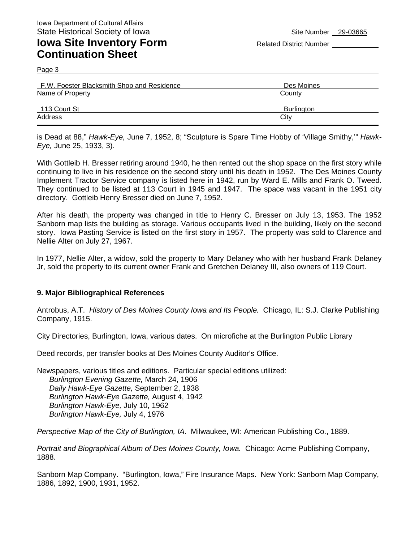Page 3

### **Iowa Site Inventory Form** Related District Number **Continuation Sheet**

| F.W. Foester Blacksmith Shop and Residence | Des Moines        |
|--------------------------------------------|-------------------|
| Name of Property                           | County            |
| 113 Court St                               | <b>Burlington</b> |
| Address                                    | City              |

is Dead at 88," *Hawk-Eye,* June 7, 1952, 8; "Sculpture is Spare Time Hobby of 'Village Smithy,'" *Hawk-Eye,* June 25, 1933, 3).

With Gottleib H. Bresser retiring around 1940, he then rented out the shop space on the first story while continuing to live in his residence on the second story until his death in 1952. The Des Moines County Implement Tractor Service company is listed here in 1942, run by Ward E. Mills and Frank O. Tweed. They continued to be listed at 113 Court in 1945 and 1947. The space was vacant in the 1951 city directory. Gottleib Henry Bresser died on June 7, 1952.

After his death, the property was changed in title to Henry C. Bresser on July 13, 1953. The 1952 Sanborn map lists the building as storage. Various occupants lived in the building, likely on the second story. Iowa Pasting Service is listed on the first story in 1957. The property was sold to Clarence and Nellie Alter on July 27, 1967.

In 1977, Nellie Alter, a widow, sold the property to Mary Delaney who with her husband Frank Delaney Jr, sold the property to its current owner Frank and Gretchen Delaney III, also owners of 119 Court.

#### **9. Major Bibliographical References**

Antrobus, A.T. *History of Des Moines County Iowa and Its People.* Chicago, IL: S.J. Clarke Publishing Company, 1915.

City Directories, Burlington, Iowa, various dates. On microfiche at the Burlington Public Library

Deed records, per transfer books at Des Moines County Auditor's Office.

Newspapers, various titles and editions. Particular special editions utilized: *Burlington Evening Gazette,* March 24, 1906 *Daily Hawk-Eye Gazette,* September 2, 1938 *Burlington Hawk-Eye Gazette,* August 4, 1942 *Burlington Hawk-Eye,* July 10, 1962 *Burlington Hawk-Eye,* July 4, 1976

*Perspective Map of the City of Burlington, IA.* Milwaukee, WI: American Publishing Co., 1889.

*Portrait and Biographical Album of Des Moines County, Iowa.* Chicago: Acme Publishing Company, 1888.

Sanborn Map Company. "Burlington, Iowa," Fire Insurance Maps. New York: Sanborn Map Company, 1886, 1892, 1900, 1931, 1952.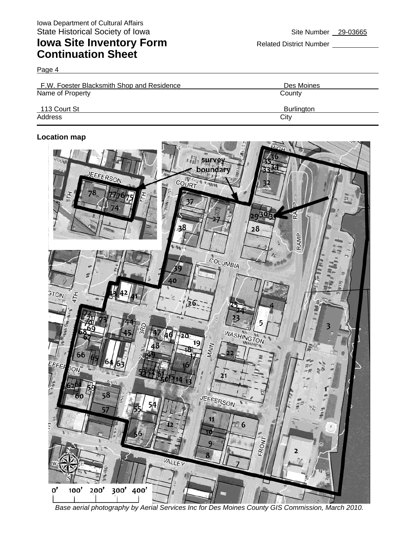# **Iowa Site Inventory Form** Related District Number **Relation Continuation Sheet**

Page 4

| F.W. Foester Blacksmith Shop and Residence | Des Moines        |  |
|--------------------------------------------|-------------------|--|
| Name of Property                           | County            |  |
| 113 Court St                               | <b>Burlington</b> |  |
| Address                                    | City              |  |

#### **Location map**



*Base aerial photography by Aerial Services Inc for Des Moines County GIS Commission, March 2010.*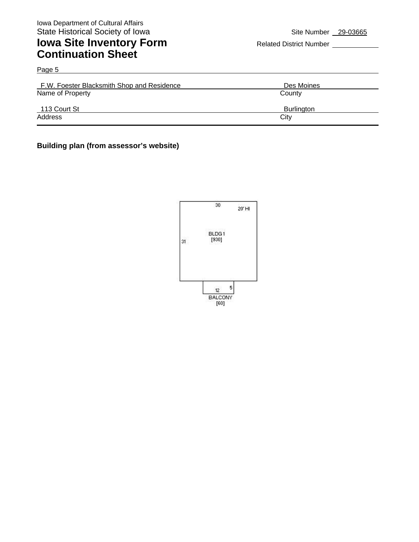**Address** 

## **Iowa Site Inventory Form** Related District Number **Continuation Sheet**

| Page 5                                     |                   |
|--------------------------------------------|-------------------|
| F.W. Foester Blacksmith Shop and Residence | Des Moines        |
| Name of Property                           | County            |
| 113 Court St                               | <b>Burlington</b> |

Address City **City** 

#### **Building plan (from assessor's website)**

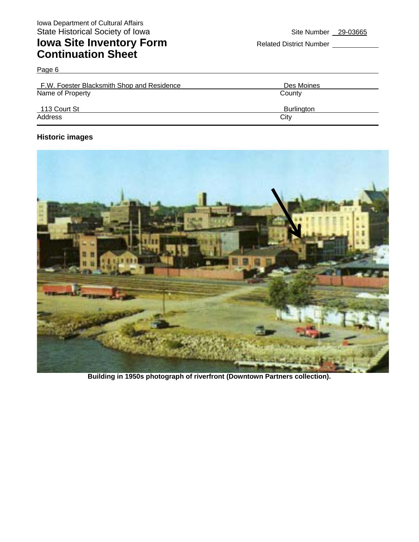## **Iowa Site Inventory Form** Related District Number **Related District Number Continuation Sheet**

Page 6 F.W. Foester Blacksmith Shop and Residence Des Moines Name of Property **County** County 113 Court St Burlington

Address City **City** 

**Historic images** 



**Building in 1950s photograph of riverfront (Downtown Partners collection).**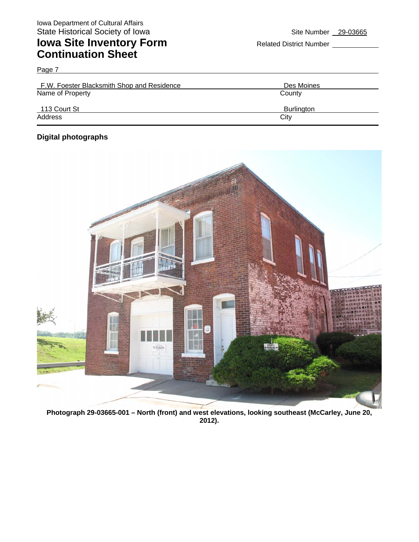## **Iowa Site Inventory Form** Related District Number **Continuation Sheet**

| F.W. Foester Blacksmith Shop and Residence | Des Moines        |  |
|--------------------------------------------|-------------------|--|
| Name of Property                           | County            |  |
| 113 Court St                               | <b>Burlington</b> |  |
| Address                                    | City              |  |

#### **Digital photographs**

Page 7



**Photograph 29-03665-001 – North (front) and west elevations, looking southeast (McCarley, June 20, 2012).**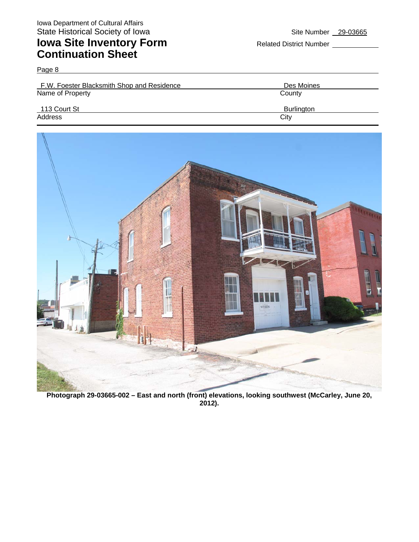Page 8

## **Iowa Site Inventory Form** Related District Number **Continuation Sheet**

| F.W. Foester Blacksmith Shop and Residence | Des Moines        |  |
|--------------------------------------------|-------------------|--|
| Name of Property                           | County            |  |
| 113 Court St                               | <b>Burlington</b> |  |
| Address                                    | City              |  |

![](_page_9_Picture_6.jpeg)

**Photograph 29-03665-002 – East and north (front) elevations, looking southwest (McCarley, June 20, 2012).**